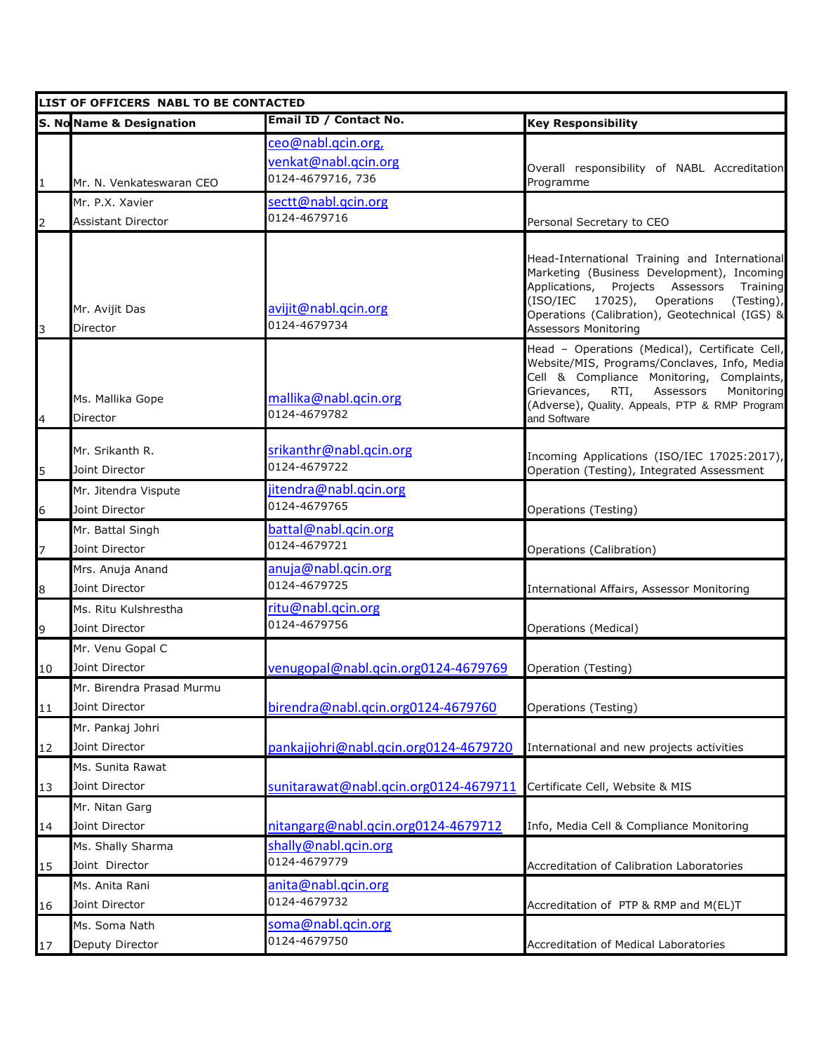| Email ID / Contact No.<br><b>S. No Name &amp; Designation</b><br><b>Key Responsibility</b><br>ceo@nabl.qcin.org,<br>venkat@nabl.qcin.org<br>Overall responsibility of NABL Accreditation<br>0124-4679716, 736<br>Programme<br>$\mathbf 1$<br>Mr. N. Venkateswaran CEO<br>sectt@nabl.qcin.org<br>Mr. P.X. Xavier                 |                         |
|---------------------------------------------------------------------------------------------------------------------------------------------------------------------------------------------------------------------------------------------------------------------------------------------------------------------------------|-------------------------|
|                                                                                                                                                                                                                                                                                                                                 |                         |
|                                                                                                                                                                                                                                                                                                                                 |                         |
|                                                                                                                                                                                                                                                                                                                                 |                         |
| 0124-4679716<br><b>Assistant Director</b><br>Personal Secretary to CEO<br>$\overline{2}$                                                                                                                                                                                                                                        |                         |
| Head-International Training and International<br>Marketing (Business Development), Incoming<br>Applications, Projects Assessors<br>(ISO/IEC 17025), Operations<br>avijit@nabl.qcin.org<br>Mr. Avijit Das<br>Operations (Calibration), Geotechnical (IGS) &<br>0124-4679734<br>Director<br><b>Assessors Monitoring</b><br>3      | Training<br>(Testing),  |
| Head - Operations (Medical), Certificate Cell,<br>Website/MIS, Programs/Conclaves, Info, Media<br>Cell & Compliance Monitoring, Complaints,<br>Grievances,<br>RTI,<br>mallika@nabl.qcin.org<br>Ms. Mallika Gope<br>(Adverse), Quality, Appeals, PTP & RMP Program<br>0124-4679782<br>$\overline{4}$<br>Director<br>and Software | Assessors<br>Monitoring |
| srikanthr@nabl.qcin.org<br>Mr. Srikanth R.<br>Incoming Applications (ISO/IEC 17025:2017),<br>0124-4679722<br>5<br>Operation (Testing), Integrated Assessment<br>Joint Director                                                                                                                                                  |                         |
| jitendra@nabl.qcin.org<br>Mr. Jitendra Vispute<br>0124-4679765<br>Joint Director<br>6<br>Operations (Testing)                                                                                                                                                                                                                   |                         |
| battal@nabl.qcin.org<br>Mr. Battal Singh                                                                                                                                                                                                                                                                                        |                         |
| 0124-4679721<br>Joint Director<br>Operations (Calibration)<br>7                                                                                                                                                                                                                                                                 |                         |
| anuja@nabl.qcin.org<br>Mrs. Anuja Anand<br>0124-4679725<br>Joint Director<br>8<br>International Affairs, Assessor Monitoring                                                                                                                                                                                                    |                         |
| ritu@nabl.qcin.org<br>Ms. Ritu Kulshrestha<br>0124-4679756<br>Joint Director<br>9<br>Operations (Medical)                                                                                                                                                                                                                       |                         |
| Mr. Venu Gopal C<br>Joint Director<br>venugopal@nabl.qcin.org0124-4679769<br>Operation (Testing)<br>10                                                                                                                                                                                                                          |                         |
| Mr. Birendra Prasad Murmu<br>birendra@nabl.qcin.org0124-4679760<br>11<br>Joint Director<br>Operations (Testing)                                                                                                                                                                                                                 |                         |
| Mr. Pankaj Johri<br>Joint Director<br>pankajjohri@nabl.qcin.org0124-4679720<br>International and new projects activities<br>12                                                                                                                                                                                                  |                         |
| Ms. Sunita Rawat                                                                                                                                                                                                                                                                                                                |                         |
| sunitarawat@nabl.qcin.org0124-4679711<br>Joint Director<br>Certificate Cell, Website & MIS<br>13                                                                                                                                                                                                                                |                         |
| Mr. Nitan Garg                                                                                                                                                                                                                                                                                                                  |                         |
| Joint Director<br>nitangarg@nabl.qcin.org0124-4679712<br>Info, Media Cell & Compliance Monitoring<br>14                                                                                                                                                                                                                         |                         |
| shally@nabl.qcin.org<br>Ms. Shally Sharma<br>0124-4679779                                                                                                                                                                                                                                                                       |                         |
| Joint Director<br>Accreditation of Calibration Laboratories<br>15                                                                                                                                                                                                                                                               |                         |
| anita@nabl.qcin.org<br>Ms. Anita Rani<br>0124-4679732                                                                                                                                                                                                                                                                           |                         |
| Joint Director<br>Accreditation of PTP & RMP and M(EL)T<br>16<br>soma@nabl.qcin.org<br>Ms. Soma Nath                                                                                                                                                                                                                            |                         |
| 0124-4679750<br>Deputy Director<br>Accreditation of Medical Laboratories<br>17                                                                                                                                                                                                                                                  |                         |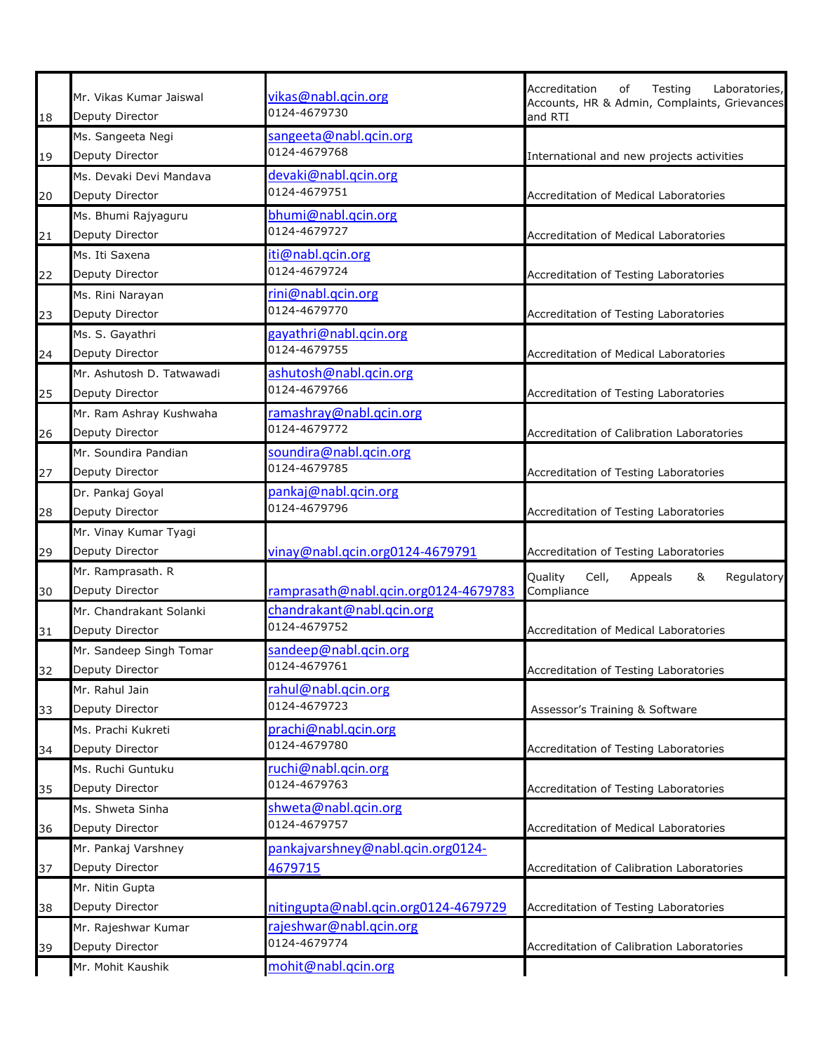|    | Mr. Vikas Kumar Jaiswal   | vikas@nabl.gcin.org                  | Accreditation<br>Testing<br>of<br>Laboratories,         |
|----|---------------------------|--------------------------------------|---------------------------------------------------------|
| 18 | Deputy Director           | 0124-4679730                         | Accounts, HR & Admin, Complaints, Grievances<br>and RTI |
|    | Ms. Sangeeta Negi         | sangeeta@nabl.qcin.org               |                                                         |
| 19 | Deputy Director           | 0124-4679768                         | International and new projects activities               |
|    | Ms. Devaki Devi Mandava   | devaki@nabl.qcin.org                 |                                                         |
| 20 | Deputy Director           | 0124-4679751                         | Accreditation of Medical Laboratories                   |
|    | Ms. Bhumi Rajyaguru       | bhumi@nabl.qcin.org                  |                                                         |
| 21 | Deputy Director           | 0124-4679727                         | Accreditation of Medical Laboratories                   |
|    | Ms. Iti Saxena            | iti@nabl.qcin.org                    |                                                         |
| 22 | Deputy Director           | 0124-4679724                         | Accreditation of Testing Laboratories                   |
|    | Ms. Rini Narayan          | rini@nabl.qcin.org                   |                                                         |
| 23 | Deputy Director           | 0124-4679770                         | Accreditation of Testing Laboratories                   |
|    | Ms. S. Gayathri           | gayathri@nabl.qcin.org               |                                                         |
| 24 | Deputy Director           | 0124-4679755                         | Accreditation of Medical Laboratories                   |
|    | Mr. Ashutosh D. Tatwawadi | ashutosh@nabl.qcin.org               |                                                         |
| 25 | Deputy Director           | 0124-4679766                         | Accreditation of Testing Laboratories                   |
|    | Mr. Ram Ashray Kushwaha   | ramashray@nabl.qcin.org              |                                                         |
| 26 | Deputy Director           | 0124-4679772                         | Accreditation of Calibration Laboratories               |
|    | Mr. Soundira Pandian      | soundira@nabl.qcin.org               |                                                         |
| 27 | Deputy Director           | 0124-4679785                         | Accreditation of Testing Laboratories                   |
|    | Dr. Pankaj Goyal          | pankaj@nabl.qcin.org                 |                                                         |
| 28 | Deputy Director           | 0124-4679796                         | Accreditation of Testing Laboratories                   |
|    | Mr. Vinay Kumar Tyagi     |                                      |                                                         |
| 29 | Deputy Director           | vinay@nabl.qcin.org0124-4679791      | Accreditation of Testing Laboratories                   |
|    | Mr. Ramprasath. R         |                                      | Quality<br>Cell,<br>&<br>Regulatory<br>Appeals          |
| 30 | Deputy Director           | ramprasath@nabl.qcin.org0124-4679783 | Compliance                                              |
|    | Mr. Chandrakant Solanki   | chandrakant@nabl.qcin.org            |                                                         |
| 31 | Deputy Director           | 0124-4679752                         | <b>Accreditation of Medical Laboratories</b>            |
|    | Mr. Sandeep Singh Tomar   | sandeep@nabl.qcin.org                |                                                         |
| 32 | Deputy Director           | 0124-4679761                         | Accreditation of Testing Laboratories                   |
|    | Mr. Rahul Jain            | rahul@nabl.qcin.org                  |                                                         |
| 33 | Deputy Director           | 0124-4679723                         | Assessor's Training & Software                          |
|    | Ms. Prachi Kukreti        | prachi@nabl.qcin.org                 |                                                         |
| 34 | Deputy Director           | 0124-4679780                         | Accreditation of Testing Laboratories                   |
|    | Ms. Ruchi Guntuku         | ruchi@nabl.qcin.org                  |                                                         |
| 35 | Deputy Director           | 0124-4679763                         | Accreditation of Testing Laboratories                   |
|    | Ms. Shweta Sinha          | shweta@nabl.qcin.org                 |                                                         |
| 36 | Deputy Director           | 0124-4679757                         | Accreditation of Medical Laboratories                   |
|    | Mr. Pankaj Varshney       | pankaj varshney@nabl.qcin.org0124-   |                                                         |
| 37 | Deputy Director           | 4679715                              | Accreditation of Calibration Laboratories               |
|    | Mr. Nitin Gupta           |                                      |                                                         |
| 38 | Deputy Director           | nitingupta@nabl.qcin.org0124-4679729 | Accreditation of Testing Laboratories                   |
|    | Mr. Rajeshwar Kumar       | rajeshwar@nabl.qcin.org              |                                                         |
| 39 | Deputy Director           | 0124-4679774                         | Accreditation of Calibration Laboratories               |
|    | Mr. Mohit Kaushik         | mohit@nabl.qcin.org                  |                                                         |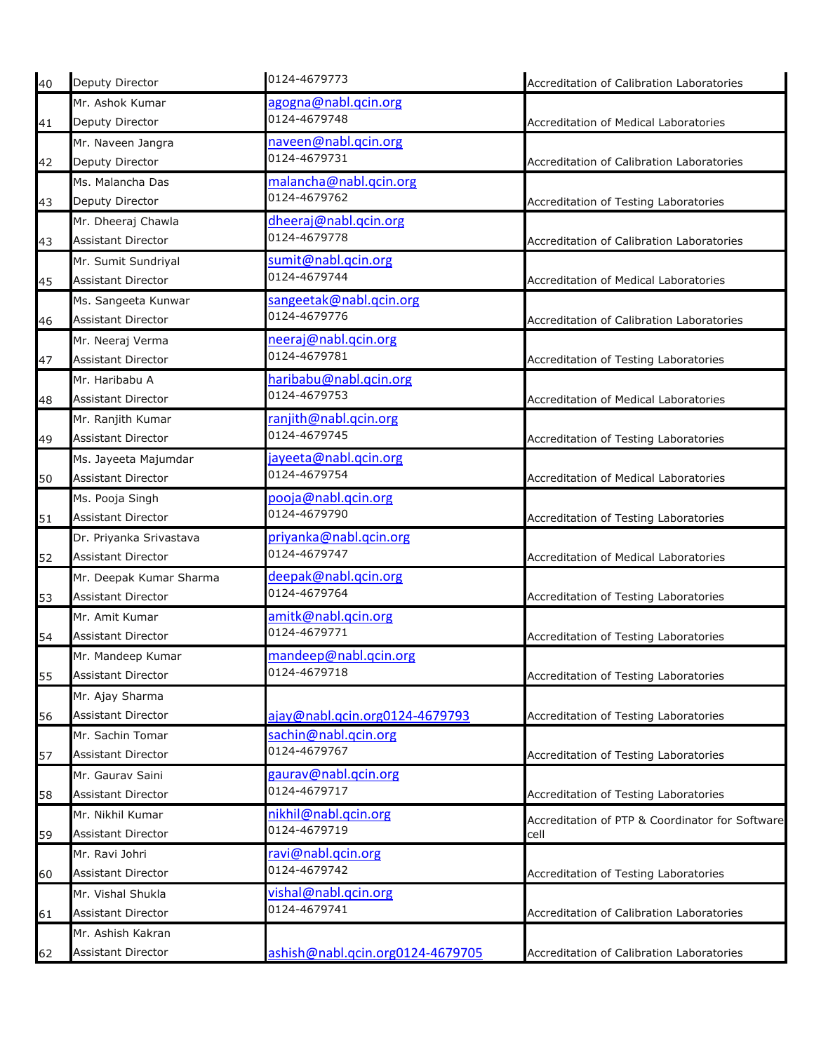| 40 | Deputy Director           | 0124-4679773                     | Accreditation of Calibration Laboratories       |
|----|---------------------------|----------------------------------|-------------------------------------------------|
|    | Mr. Ashok Kumar           | agogna@nabl.qcin.org             |                                                 |
| 41 | Deputy Director           | 0124-4679748                     | Accreditation of Medical Laboratories           |
|    | Mr. Naveen Jangra         | naveen@nabl.qcin.org             |                                                 |
| 42 | Deputy Director           | 0124-4679731                     | Accreditation of Calibration Laboratories       |
|    | Ms. Malancha Das          | malancha@nabl.qcin.org           |                                                 |
| 43 | Deputy Director           | 0124-4679762                     | Accreditation of Testing Laboratories           |
|    | Mr. Dheeraj Chawla        | dheeraj@nabl.qcin.org            |                                                 |
| 43 | <b>Assistant Director</b> | 0124-4679778                     | Accreditation of Calibration Laboratories       |
|    | Mr. Sumit Sundriyal       | sumit@nabl.qcin.org              |                                                 |
| 45 | <b>Assistant Director</b> | 0124-4679744                     | Accreditation of Medical Laboratories           |
|    | Ms. Sangeeta Kunwar       | sangeetak@nabl.qcin.org          |                                                 |
| 46 | <b>Assistant Director</b> | 0124-4679776                     | Accreditation of Calibration Laboratories       |
|    | Mr. Neeraj Verma          | neeraj@nabl.qcin.org             |                                                 |
| 47 | <b>Assistant Director</b> | 0124-4679781                     | Accreditation of Testing Laboratories           |
|    | Mr. Haribabu A            | haribabu@nabl.qcin.org           |                                                 |
| 48 | <b>Assistant Director</b> | 0124-4679753                     | Accreditation of Medical Laboratories           |
|    | Mr. Ranjith Kumar         | ranjith@nabl.qcin.org            |                                                 |
| 49 | <b>Assistant Director</b> | 0124-4679745                     | Accreditation of Testing Laboratories           |
|    | Ms. Jayeeta Majumdar      | jayeeta@nabl.qcin.org            |                                                 |
| 50 | <b>Assistant Director</b> | 0124-4679754                     | Accreditation of Medical Laboratories           |
|    | Ms. Pooja Singh           | pooja@nabl.qcin.org              |                                                 |
| 51 | <b>Assistant Director</b> | 0124-4679790                     | Accreditation of Testing Laboratories           |
|    | Dr. Priyanka Srivastava   | priyanka@nabl.qcin.org           |                                                 |
| 52 | <b>Assistant Director</b> | 0124-4679747                     | Accreditation of Medical Laboratories           |
|    | Mr. Deepak Kumar Sharma   | deepak@nabl.qcin.org             |                                                 |
| 53 | <b>Assistant Director</b> | 0124-4679764                     | Accreditation of Testing Laboratories           |
|    | Mr. Amit Kumar            | amitk@nabl.qcin.org              |                                                 |
| 54 | Assistant Director        | 0124-4679771                     | Accreditation of Testing Laboratories           |
|    | Mr. Mandeep Kumar         | mandeep@nabl.qcin.org            |                                                 |
| 55 | <b>Assistant Director</b> | 0124-4679718                     | Accreditation of Testing Laboratories           |
|    | Mr. Ajay Sharma           |                                  |                                                 |
| 56 | <b>Assistant Director</b> | ajay@nabl.qcin.org0124-4679793   | Accreditation of Testing Laboratories           |
|    | Mr. Sachin Tomar          | sachin@nabl.qcin.org             |                                                 |
| 57 | Assistant Director        | 0124-4679767                     | Accreditation of Testing Laboratories           |
|    | Mr. Gaurav Saini          | gaurav@nabl.qcin.org             |                                                 |
| 58 | <b>Assistant Director</b> | 0124-4679717                     | Accreditation of Testing Laboratories           |
|    | Mr. Nikhil Kumar          | nikhil@nabl.qcin.org             | Accreditation of PTP & Coordinator for Software |
| 59 | Assistant Director        | 0124-4679719                     | cell                                            |
|    | Mr. Ravi Johri            | ravi@nabl.qcin.org               |                                                 |
| 60 | Assistant Director        | 0124-4679742                     | Accreditation of Testing Laboratories           |
|    | Mr. Vishal Shukla         | vishal@nabl.qcin.org             |                                                 |
| 61 | Assistant Director        | 0124-4679741                     | Accreditation of Calibration Laboratories       |
|    | Mr. Ashish Kakran         |                                  |                                                 |
| 62 | Assistant Director        | ashish@nabl.qcin.org0124-4679705 | Accreditation of Calibration Laboratories       |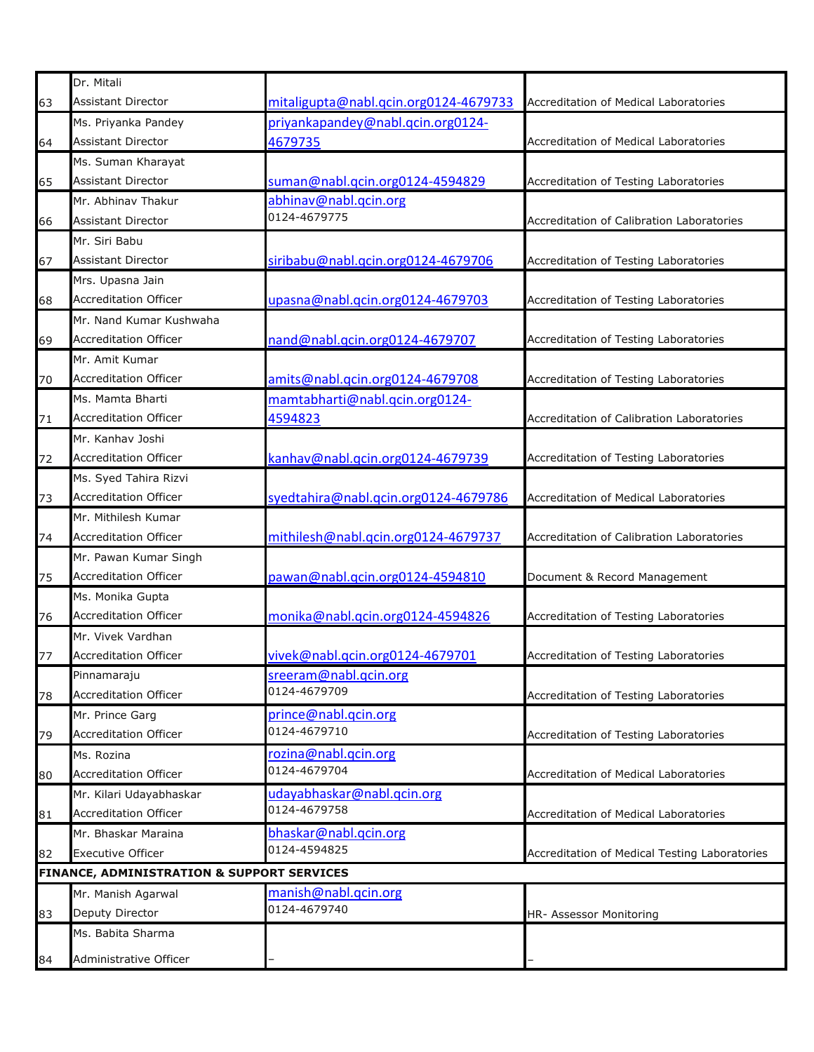|    | Dr. Mitali                                 |                                       |                                               |
|----|--------------------------------------------|---------------------------------------|-----------------------------------------------|
| 63 | <b>Assistant Director</b>                  | mitaligupta@nabl.qcin.org0124-4679733 | Accreditation of Medical Laboratories         |
|    | Ms. Priyanka Pandey                        | priyankapandey@nabl.qcin.org0124-     |                                               |
| 64 | <b>Assistant Director</b>                  | 4679735                               | Accreditation of Medical Laboratories         |
|    | Ms. Suman Kharayat                         |                                       |                                               |
| 65 | Assistant Director                         | suman@nabl.qcin.org0124-4594829       | Accreditation of Testing Laboratories         |
|    | Mr. Abhinav Thakur                         | abhinav@nabl.qcin.org                 |                                               |
| 66 | <b>Assistant Director</b>                  | 0124-4679775                          | Accreditation of Calibration Laboratories     |
|    | Mr. Siri Babu                              |                                       |                                               |
| 67 | <b>Assistant Director</b>                  | siribabu@nabl.qcin.org0124-4679706    | Accreditation of Testing Laboratories         |
|    | Mrs. Upasna Jain                           |                                       |                                               |
| 68 | <b>Accreditation Officer</b>               | upasna@nabl.qcin.org0124-4679703      | Accreditation of Testing Laboratories         |
|    | Mr. Nand Kumar Kushwaha                    |                                       |                                               |
| 69 | <b>Accreditation Officer</b>               | nand@nabl.qcin.org0124-4679707        | Accreditation of Testing Laboratories         |
|    | Mr. Amit Kumar                             |                                       |                                               |
| 70 | <b>Accreditation Officer</b>               | amits@nabl.qcin.org0124-4679708       | Accreditation of Testing Laboratories         |
|    | Ms. Mamta Bharti                           | mamtabharti@nabl.qcin.org0124-        |                                               |
| 71 | <b>Accreditation Officer</b>               | 4594823                               | Accreditation of Calibration Laboratories     |
|    | Mr. Kanhav Joshi                           |                                       |                                               |
| 72 | <b>Accreditation Officer</b>               | kanhav@nabl.qcin.org0124-4679739      | Accreditation of Testing Laboratories         |
|    | Ms. Syed Tahira Rizvi                      |                                       |                                               |
| 73 | <b>Accreditation Officer</b>               | syedtahira@nabl.qcin.org0124-4679786  | Accreditation of Medical Laboratories         |
|    | Mr. Mithilesh Kumar                        |                                       |                                               |
| 74 | <b>Accreditation Officer</b>               | mithilesh@nabl.qcin.org0124-4679737   | Accreditation of Calibration Laboratories     |
|    | Mr. Pawan Kumar Singh                      |                                       |                                               |
| 75 | <b>Accreditation Officer</b>               | pawan@nabl.qcin.org0124-4594810       | Document & Record Management                  |
|    | Ms. Monika Gupta                           |                                       |                                               |
| 76 | <b>Accreditation Officer</b>               | monika@nabl.qcin.org0124-4594826      | Accreditation of Testing Laboratories         |
|    | Mr. Vivek Vardhan                          |                                       |                                               |
| 77 | <b>Accreditation Officer</b>               | vivek@nabl.gcin.org0124-4679701       | Accreditation of Testing Laboratories         |
|    | Pinnamaraju                                | sreeram@nabl.qcin.org                 |                                               |
| 78 | <b>Accreditation Officer</b>               | 0124-4679709                          | Accreditation of Testing Laboratories         |
|    | Mr. Prince Garg                            | prince@nabl.qcin.org                  |                                               |
| 79 | <b>Accreditation Officer</b>               | 0124-4679710                          | Accreditation of Testing Laboratories         |
|    | Ms. Rozina                                 | rozina@nabl.qcin.org                  |                                               |
| 80 | Accreditation Officer                      | 0124-4679704                          | Accreditation of Medical Laboratories         |
|    | Mr. Kilari Udayabhaskar                    | udayabhaskar@nabl.qcin.org            |                                               |
| 81 | <b>Accreditation Officer</b>               | 0124-4679758                          | <b>Accreditation of Medical Laboratories</b>  |
|    | Mr. Bhaskar Maraina                        | bhaskar@nabl.qcin.org                 |                                               |
| 82 | <b>Executive Officer</b>                   | 0124-4594825                          | Accreditation of Medical Testing Laboratories |
|    | FINANCE, ADMINISTRATION & SUPPORT SERVICES |                                       |                                               |
|    | Mr. Manish Agarwal                         | manish@nabl.qcin.org                  |                                               |
| 83 | Deputy Director                            | 0124-4679740                          | HR- Assessor Monitoring                       |
|    | Ms. Babita Sharma                          |                                       |                                               |
| 84 | Administrative Officer                     |                                       |                                               |